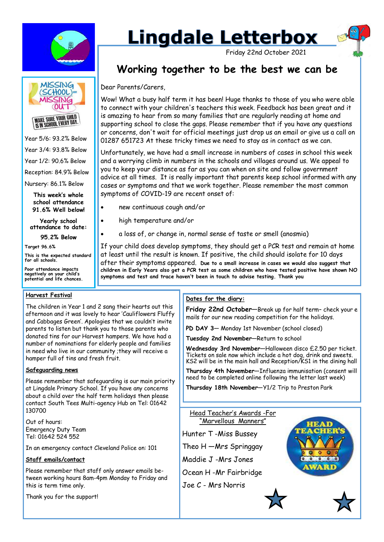

# **Lingdale Letterbox**

Friday 22nd October 2021

# **Working together to be the best we can be**

Dear Parents/Carers,

Wow! What a busy half term it has been! Huge thanks to those of you who were able to connect with your children's teachers this week. Feedback has been great and it is amazing to hear from so many families that are regularly reading at home and supporting school to close the gaps. Please remember that if you have any questions or concerns, don't wait for official meetings just drop us an email or give us a call on 01287 651723 At these tricky times we need to stay as in contact as we can.

Unfortunately, we have had a small increase in numbers of cases in school this week and a worrying climb in numbers in the schools and villages around us. We appeal to you to keep your distance as far as you can when on site and follow government advice at all times. It is really important that parents keep school informed with any cases or symptoms and that we work together. Please remember the most common symptoms of COVID-19 are recent onset of:

- new continuous cough and/or
- high temperature and/or
- a loss of, or change in, normal sense of taste or smell (anosmia)

If your child does develop symptoms, they should get a PCR test and remain at home at least until the result is known. If positive, the child should isolate for 10 days after their symptoms appeared. **Due to a small increase in cases we would also suggest that children in Early Years also get a PCR test as some children who have tested positive have shown NO symptoms and test and trace haven't been in touch to advise testing. Thank you** 

#### **Harvest Festival**

The children in Year 1 and 2 sang their hearts out this afternoon and it was lovely to hear 'Cauliflowers Fluffy and Cabbages Green'. Apologies that we couldn't invite parents to listen but thank you to those parents who donated tins for our Harvest hampers. We have had a number of nominations for elderly people and families in need who live in our community ;they will receive a hamper full of tins and fresh fruit.

#### **Safeguarding news**

Please remember that safeguarding is our main priority at Lingdale Primary School. If you have any concerns about a child over the half term holidays then please contact South Tees Multi-agency Hub on Tel: 01642 130700

Out of hours: Emergency Duty Team Tel: 01642 524 552

In an emergency contact Cleveland Police on: 101

#### **Staff emails/contact**

Please remember that staff only answer emails between working hours 8am-4pm Monday to Friday and this is term time only.

Thank you for the support!

#### **Dates for the diary:**

**Friday 22nd October**—Break up for half term– check your e mails for our new reading competition for the holidays.

**PD DAY 3**— Monday 1st November (school closed)

**Tuesday 2nd November**—Return to school

**Wednesday 3rd November**—Halloween disco £2.50 per ticket. Tickets on sale now which include a hot dog, drink and sweets. KS2 will be in the main hall and Reception/KS1 in the dining hall

**Thursday 4th November**—Influenza immunisation (consent will need to be completed online following the letter last week)

**Thursday 18th November**—Y1/2 Trip to Preston Park





Year 5/6: 93.2% Below Year 3/4: 93.8% Below Year 1/2: 90.6% Below Reception: 84.9% Below Nursery: 86.1% Below

**This week's whole school attendance** 

**Yearly school attendance to date:** 

**91.6% Well below!**

**95.2% Below**

**Target 96.6%**

**This is the expected standard for all schools.**

**Poor attendance impacts negatively on your child's potential and life chances.**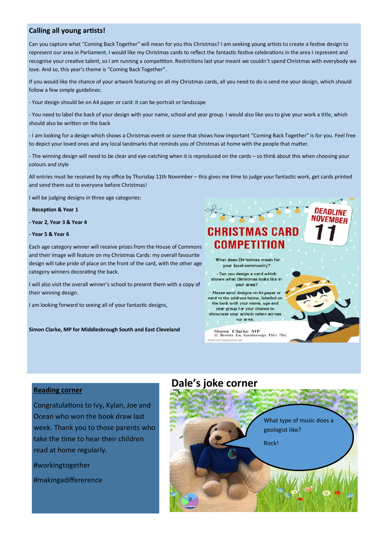#### **Calling all young artists!**

Can you capture what "Coming Back Together" will mean for you this Christmas? I am seeking young artists to create a festive design to represent our area in Parliament. I would like my Christmas cards to reflect the fantastic festive celebrations in the area I represent and recognise your creative talent, so I am running a competition. Restrictions last year meant we couldn't spend Christmas with everybody we love. And so, this year's theme is "Coming Back Together".

If you would like the chance of your artwork featuring on all my Christmas cards, all you need to do is send me your design, which should follow a few simple guidelines:

- Your design should be on A4 paper or card: it can be portrait or landscape

- You need to label the back of your design with your name, school and year group. I would also like you to give your work a title, which should also be written on the back

- I am looking for a design which shows a Christmas event or scene that shows how important "Coming Back Together" is for you. Feel free to depict your loved ones and any local landmarks that reminds you of Christmas at home with the people that matter.

- The winning design will need to be clear and eye-catching when it is reproduced on the cards – so think about this when choosing your colours and style

All entries must be received by my office by Thursday 11th November – this gives me time to judge your fantastic work, get cards printed and send them out to everyone before Christmas!

I will be judging designs in three age categories:

- **Reception & Year 1**

**- Year 2, Year 3 & Year 4**

#### **- Year 5 & Year 6**

Each age category winner will receive prizes from the House of Commons and their image will feature on my Christmas Cards: my overall favourite design will take pride of place on the front of the card, with the other age category winners decorating the back.

I will also visit the overall winner's school to present them with a copy of their winning design.

I am looking forward to seeing all of your fantastic designs,

**Simon Clarke, MP for Middlesbrough South and East Cleveland**



#### **Reading corner**

Congratulations to Ivy, Kylan, Joe and Ocean who won the book draw last week. Thank you to those parents who take the time to hear their children read at home regularly.

#workingtogether

#makingadiffererence

# **Dale's joke corner**

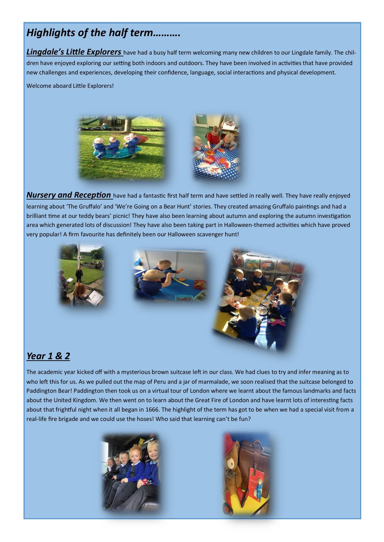# *Highlights of the half term……….*

**Lingdale's Little Explorers** have had a busy half term welcoming many new children to our Lingdale family. The children have enjoyed exploring our setting both indoors and outdoors. They have been involved in activities that have provided new challenges and experiences, developing their confidence, language, social interactions and physical development.

Welcome aboard Little Explorers!



*Nursery and Reception* have had a fantastic first half term and have settled in really well. They have really enjoyed learning about 'The Gruffalo' and 'We're Going on a Bear Hunt' stories. They created amazing Gruffalo paintings and had a brilliant time at our teddy bears' picnic! They have also been learning about autumn and exploring the autumn investigation area which generated lots of discussion! They have also been taking part in Halloween-themed activities which have proved very popular! A firm favourite has definitely been our Halloween scavenger hunt!



## *Year 1 & 2*

The academic year kicked off with a mysterious brown suitcase left in our class. We had clues to try and infer meaning as to who left this for us. As we pulled out the map of Peru and a jar of marmalade, we soon realised that the suitcase belonged to Paddington Bear! Paddington then took us on a virtual tour of London where we learnt about the famous landmarks and facts about the United Kingdom. We then went on to learn about the Great Fire of London and have learnt lots of interesting facts about that frightful night when it all began in 1666. The highlight of the term has got to be when we had a special visit from a real-life fire brigade and we could use the hoses! Who said that learning can't be fun?